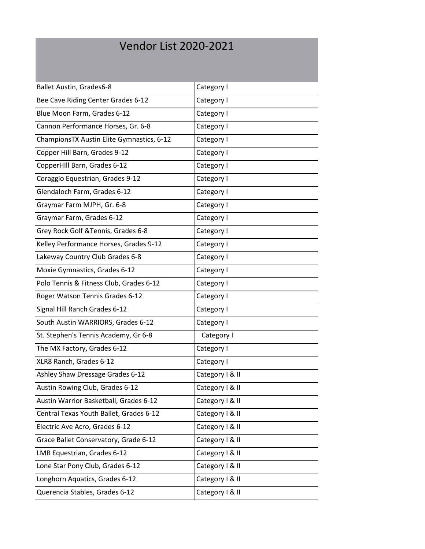## Vendor List 2020-2021

| <b>Ballet Austin, Grades6-8</b>           | Category I      |
|-------------------------------------------|-----------------|
| Bee Cave Riding Center Grades 6-12        | Category I      |
| Blue Moon Farm, Grades 6-12               | Category I      |
| Cannon Performance Horses, Gr. 6-8        | Category I      |
| ChampionsTX Austin Elite Gymnastics, 6-12 | Category I      |
| Copper Hill Barn, Grades 9-12             | Category I      |
| CopperHIII Barn, Grades 6-12              | Category I      |
| Coraggio Equestrian, Grades 9-12          | Category I      |
| Glendaloch Farm, Grades 6-12              | Category I      |
| Graymar Farm MJPH, Gr. 6-8                | Category I      |
| Graymar Farm, Grades 6-12                 | Category I      |
| Grey Rock Golf & Tennis, Grades 6-8       | Category I      |
| Kelley Performance Horses, Grades 9-12    | Category I      |
| Lakeway Country Club Grades 6-8           | Category I      |
| Moxie Gymnastics, Grades 6-12             | Category I      |
| Polo Tennis & Fitness Club, Grades 6-12   | Category I      |
| Roger Watson Tennis Grades 6-12           | Category I      |
| Signal Hill Ranch Grades 6-12             | Category I      |
| South Austin WARRIORS, Grades 6-12        | Category I      |
| St. Stephen's Tennis Academy, Gr 6-8      | Category I      |
| The MX Factory, Grades 6-12               | Category I      |
| XLR8 Ranch, Grades 6-12                   | Category I      |
| Ashley Shaw Dressage Grades 6-12          | Category   & II |
| Austin Rowing Club, Grades 6-12           | Category   & II |
| Austin Warrior Basketball, Grades 6-12    | Category   & II |
| Central Texas Youth Ballet, Grades 6-12   | Category   & II |
| Electric Ave Acro, Grades 6-12            | Category   & II |
| Grace Ballet Conservatory, Grade 6-12     | Category   & II |
| LMB Equestrian, Grades 6-12               | Category   & II |
| Lone Star Pony Club, Grades 6-12          | Category   & II |
| Longhorn Aquatics, Grades 6-12            | Category   & II |
| Querencia Stables, Grades 6-12            | Category   & II |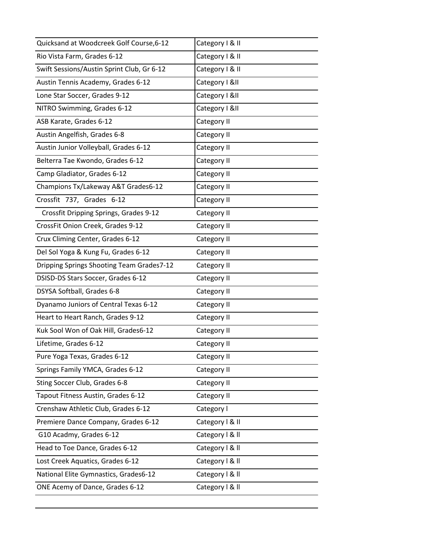| Quicksand at Woodcreek Golf Course, 6-12   | Category I & II |
|--------------------------------------------|-----------------|
| Rio Vista Farm, Grades 6-12                | Category I & II |
| Swift Sessions/Austin Sprint Club, Gr 6-12 | Category   & II |
| Austin Tennis Academy, Grades 6-12         | Category I &II  |
| Lone Star Soccer, Grades 9-12              | Category I &II  |
| NITRO Swimming, Grades 6-12                | Category I &II  |
| ASB Karate, Grades 6-12                    | Category II     |
| Austin Angelfish, Grades 6-8               | Category II     |
| Austin Junior Volleyball, Grades 6-12      | Category II     |
| Belterra Tae Kwondo, Grades 6-12           | Category II     |
| Camp Gladiator, Grades 6-12                | Category II     |
| Champions Tx/Lakeway A&T Grades6-12        | Category II     |
| Crossfit 737, Grades 6-12                  | Category II     |
| Crossfit Dripping Springs, Grades 9-12     | Category II     |
| CrossFit Onion Creek, Grades 9-12          | Category II     |
| Crux Climing Center, Grades 6-12           | Category II     |
| Del Sol Yoga & Kung Fu, Grades 6-12        | Category II     |
| Dripping Springs Shooting Team Grades7-12  | Category II     |
| DSISD-DS Stars Soccer, Grades 6-12         | Category II     |
| DSYSA Softball, Grades 6-8                 | Category II     |
| Dyanamo Juniors of Central Texas 6-12      | Category II     |
| Heart to Heart Ranch, Grades 9-12          | Category II     |
| Kuk Sool Won of Oak Hill, Grades6-12       | Category II     |
| Lifetime, Grades 6-12                      | Category II     |
| Pure Yoga Texas, Grades 6-12               | Category II     |
| Springs Family YMCA, Grades 6-12           | Category II     |
| Sting Soccer Club, Grades 6-8              | Category II     |
| Tapout Fitness Austin, Grades 6-12         | Category II     |
| Crenshaw Athletic Club, Grades 6-12        | Category I      |
| Premiere Dance Company, Grades 6-12        | Category   & II |
| G10 Acadmy, Grades 6-12                    | Category   & II |
| Head to Toe Dance, Grades 6-12             | Category   & II |
| Lost Creek Aquatics, Grades 6-12           | Category   & II |
| National Elite Gymnastics, Grades6-12      | Category   & II |
| ONE Acemy of Dance, Grades 6-12            | Category   & II |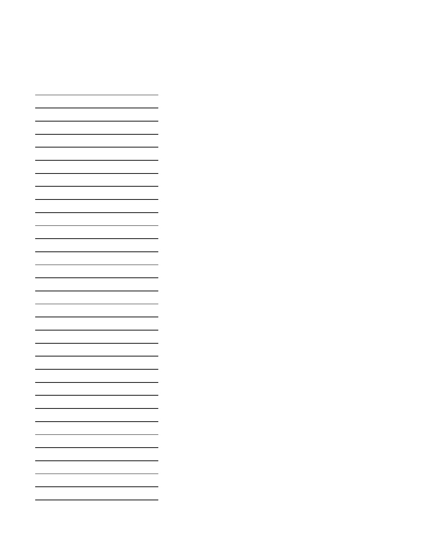